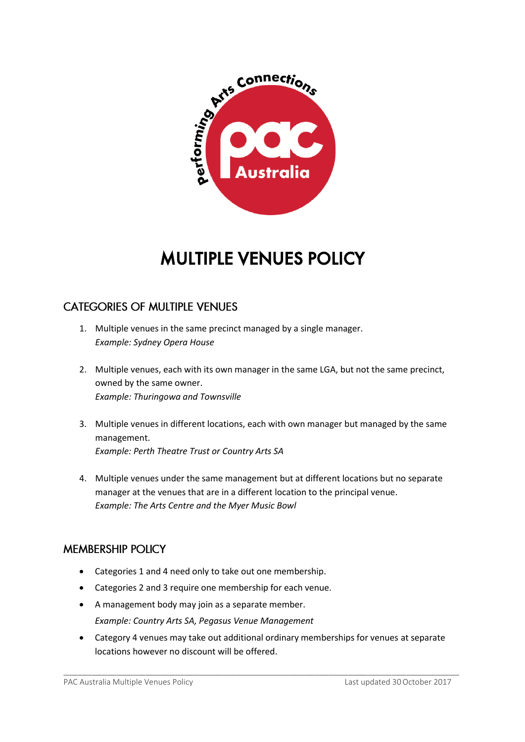

# MULTIPLE VENUES POLICY

## **CATEGORIES OF MULTIPLE VENUES**

- 1. Multiple venues in the same precinct managed by a single manager. *Example: Sydney Opera House*
- 2. Multiple venues, each with its own manager in the same LGA, but not the same precinct, owned by the same owner. *Example: Thuringowa and Townsville*
- 3. Multiple venues in different locations, each with own manager but managed by the same management. *Example: Perth Theatre Trust or Country Arts SA*
- 4. Multiple venues under the same management but at different locations but no separate manager at the venues that are in a different location to the principal venue. *Example: The Arts Centre and the Myer Music Bowl*

### **MEMBERSHIP POLICY**

- Categories 1 and 4 need only to take out one membership.
- Categories 2 and 3 require one membership for each venue.
- A management body may join as a separate member. *Example: Country Arts SA, Pegasus Venue Management*
- Category 4 venues may take out additional ordinary memberships for venues at separate locations however no discount will be offered.

\_\_\_\_\_\_\_\_\_\_\_\_\_\_\_\_\_\_\_\_\_\_\_\_\_\_\_\_\_\_\_\_\_\_\_\_\_\_\_\_\_\_\_\_\_\_\_\_\_\_\_\_\_\_\_\_\_\_\_\_\_\_\_\_\_\_\_\_\_\_\_\_\_\_\_\_\_\_\_\_\_\_